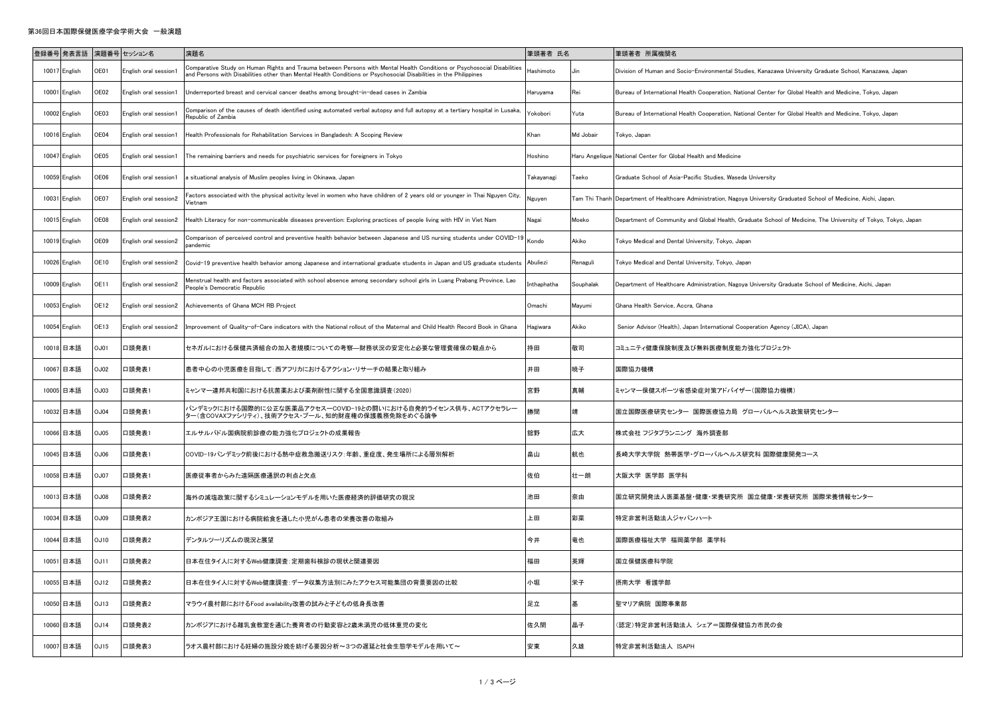## 第36回日本国際保健医療学会学術大会 一般演題

|       | 登録番号 発表言語 演題番号 セッション名 |             |                       | 演題名                                                                                                                                                                                                                                         | 筆頭著者 氏名       |           | 筆頭著者 所属機関名                                                                                                           |
|-------|-----------------------|-------------|-----------------------|---------------------------------------------------------------------------------------------------------------------------------------------------------------------------------------------------------------------------------------------|---------------|-----------|----------------------------------------------------------------------------------------------------------------------|
| 10017 | English               | OE01        | English oral session1 | omparative Study on Human Rights and Trauma between Persons with Mental Health Conditions or Psychosocial Disabilities<br>and Persons with Disabilities other than Mental Health Conditions or Psychosocial Disabilities in the Philippines | Hashimoto     |           | Division of Human and Socio-Environmental Studies, Kanazawa University Graduate School, Kanazawa, Japan              |
| 10001 | English               | OE02        | English oral session1 | Underreported breast and cervical cancer deaths among brought-in-dead cases in Zambia                                                                                                                                                       | laruyama      | Rei       | Bureau of International Health Cooperation, National Center for Global Health and Medicine, Tokyo, Japan             |
|       | 10002 English         | OE03        | English oral session1 | Comparison of the causes of death identified using automated verbal autopsy and full autopsy at a tertiary hospital in Lusaka,<br>Republic of Zambia                                                                                        | okobori       | Yuta      | Bureau of International Health Cooperation, National Center for Global Health and Medicine, Tokyo, Japan             |
| 10016 | English               | OE04        | English oral session1 | Health Professionals for Rehabilitation Services in Bangladesh: A Scoping Review                                                                                                                                                            | Khan          | Md Jobair | Tokyo, Japan                                                                                                         |
| 10047 | English               | OE05        | English oral session1 | The remaining barriers and needs for psychiatric services for foreigners in Tokyo                                                                                                                                                           | Hoshino       |           | Haru Angelique National Center for Global Health and Medicine                                                        |
| 10059 | English               | OE06        | English oral session1 | a situational analysis of Muslim peoples living in Okinawa, Japan                                                                                                                                                                           | Takayanagi    | Taeko     | Graduate School of Asia-Pacific Studies, Waseda University                                                           |
| 10031 | English               | OE07        | English oral session2 | Factors associated with the physical activity level in women who have children of 2 years old or younger in Thai Nguyen City,<br>Vietnam                                                                                                    | Nguyen        |           | Tam Thi Thanh Department of Healthcare Administration, Nagoya University Graduated School of Medicine, Aichi, Japan. |
| 10015 | English               | OE08        | English oral session2 | Health Literacy for non-communicable diseases prevention: Exploring practices of people living with HIV in Viet Nam                                                                                                                         | Nagai         | Moeko     | Department of Community and Global Health, Graduate School of Medicine, The University of Tokyo, Tokyo, Japan        |
| 10019 | English               | OE09        | English oral session2 | Comparison of perceived control and preventive health behavior between Japanese and US nursing students under COVID-19<br>andemic                                                                                                           | Kondo         | Akiko     | Tokyo Medical and Dental University, Tokyo, Japan                                                                    |
|       | 10026 English         | OE10        | English oral session2 | Covid-19 preventive health behavior among Japanese and international graduate students in Japan and US graduate students                                                                                                                    | Abuliezi      | Renaguli  | Tokyo Medical and Dental University, Tokyo, Japan                                                                    |
| 10009 | English               | OE11        | English oral session2 | Menstrual health and factors associated with school absence among secondary school girls in Luang Prabang Province, Lao<br>People's Democratic Republic                                                                                     | Inthaphatha   | Souphalak | Department of Healthcare Administration, Nagoya University Graduate School of Medicine, Aichi, Japan                 |
| 10053 | English               | <b>DE12</b> | English oral session2 | Achievements of Ghana MCH RB Project                                                                                                                                                                                                        | <b>Omachi</b> | Mayumi    | Ghana Health Service, Accra, Ghana                                                                                   |
| 10054 | English               | OE13        | English oral session2 | Improvement of Quality-of-Care indicators with the National rollout of the Maternal and Child Health Record Book in Ghana                                                                                                                   | Hagiwara      | Akiko     | Senior Advisor (Health), Japan International Cooperation Agency (JICA), Japan                                        |
| 10018 | 日本語                   | <b>DUC</b>  | 口頭発表1                 | セネガルにおける保健共済組合の加入者規模についての考察―財務状況の安定化と必要な管理費確保の観点から                                                                                                                                                                                          | 持田            | 敬司        | コミュニティ健康保険制度及び無料医療制度能力強化プロジェクト                                                                                       |
|       | 10067 日本語             | OJ02        | 口頭発表1                 | 患者中心の小児医療を目指して:西アフリカにおけるアクション・リサーチの結果と取り組み                                                                                                                                                                                                  | 井田            | 暁子        | 国際協力機構                                                                                                               |
|       | 10005 日本語             | <b>DJ03</b> | 口頭発表1                 | ミャンマー連邦共和国における抗菌薬および薬剤耐性に関する全国意識調査(2020)                                                                                                                                                                                                    | 宮野            | 真輔        | ミャンマー保健スポーツ省感染症対策アドバイザー(国際協力機構)                                                                                      |
| 10032 | 日本語                   | OJ04        | 口頭発表1                 | ∜ンデミックにおける国際的に公正な医薬品アクセス一COVID−19との闘いにおける自発的ライセンス供与、ACTアクセラレー<br>ヌ一(含COVAXファシリティ)、技術アクセス・プール、知的財産権の保護義務免除をめぐる論争                                                                                                                             | 勝間            | 靖         | 国立国際医療研究センター 国際医療協力局 グローバルヘルス政策研究センター                                                                                |
| 10066 | 日本語                   | OJ05        | 口頭発表1                 | エルサルバドル国病院前診療の能力強化プロジェクトの成果報告                                                                                                                                                                                                               | 舘野            | 広大        | 株式会社 フジタプランニング 海外調査部                                                                                                 |
| 10045 | 日本語                   | <b>OOLC</b> | 口頭発表1                 | COVID-19パンデミック前後における熱中症救急搬送リスク:年齢、重症度、発生場所による層別解析                                                                                                                                                                                           | 畠山            | 航也        | 長崎大学大学院 熱帯医学・グローバルヘルス研究科 国際健康開発コース                                                                                   |
|       | 10058 日本語             | OJ07        | 口頭発表1                 | 医療従事者からみた遠隔医療通訳の利点と欠点                                                                                                                                                                                                                       | 佐伯            | 壮一朗       | 大阪大学 医学部 医学科                                                                                                         |
| 10013 | 日本語                   | 80LC        | 口頭発表2                 | 海外の減塩政策に関するシミュレーションモデルを用いた医療経済的評価研究の現況                                                                                                                                                                                                      | 也田            | 奈由        | 国立研究開発法人医薬基盤 健康 栄養研究所 国立健康 栄養研究所 国際栄養情報センター                                                                          |
| 10034 | 日本語                   | <b>90LC</b> | 口頭発表2                 | カンボジア王国における病院給食を通した小児がん患者の栄養改善の取組み                                                                                                                                                                                                          | 上田            | 彩菜        | 特定非営利活動法人ジャパンハート                                                                                                     |
|       | 10044 日本語             | 01LC        | 口頭発表2                 | デンタルツーリズムの現況と展望                                                                                                                                                                                                                             | 今井            | 竜也        | 国際医療福祉大学 福岡薬学部 薬学科                                                                                                   |
|       | 10051 日本語             | J11         | 口頭発表2                 | 日本在住タイ人に対するWeb健康調査:定期歯科検診の現状と関連要因                                                                                                                                                                                                           | 福田            | 英輝        | 国立保健医療科学院                                                                                                            |
| 10055 | 日本語                   | OJ12        | 口頭発表2                 | 日本在住タイ人に対するWeb健康調査:データ収集方法別にみたアクセス可能集団の背景要因の比較                                                                                                                                                                                              | 小堀            | 栄子        | 摂南大学 看護学部                                                                                                            |
| 10050 | 日本語                   | DJ13        | 口頭発表2                 | マラウイ農村部におけるFood availability改善の試みと子どもの低身長改善                                                                                                                                                                                                 | 足立            | 基         | 聖マリア病院 国際事業部                                                                                                         |
| 10060 | 日本語                   | JJ14        | 口頭発表2                 | カンボジアにおける離乳食教室を通じた養育者の行動変容と2歳未満児の低体重児の変化                                                                                                                                                                                                    | 佐久間           | 晶子        | <b>[認定)特定非営利活動法人 シェア=国際保健協力市民の会</b>                                                                                  |
|       | 10007 日本語             | JJ15        | 口頭発表3                 | ラオス農村部における妊婦の施設分娩を妨げる要因分析~3つの遅延と社会生態学モデルを用いて~                                                                                                                                                                                               | 安東            | 久雄        | 特定非営利活動法人 ISAPH                                                                                                      |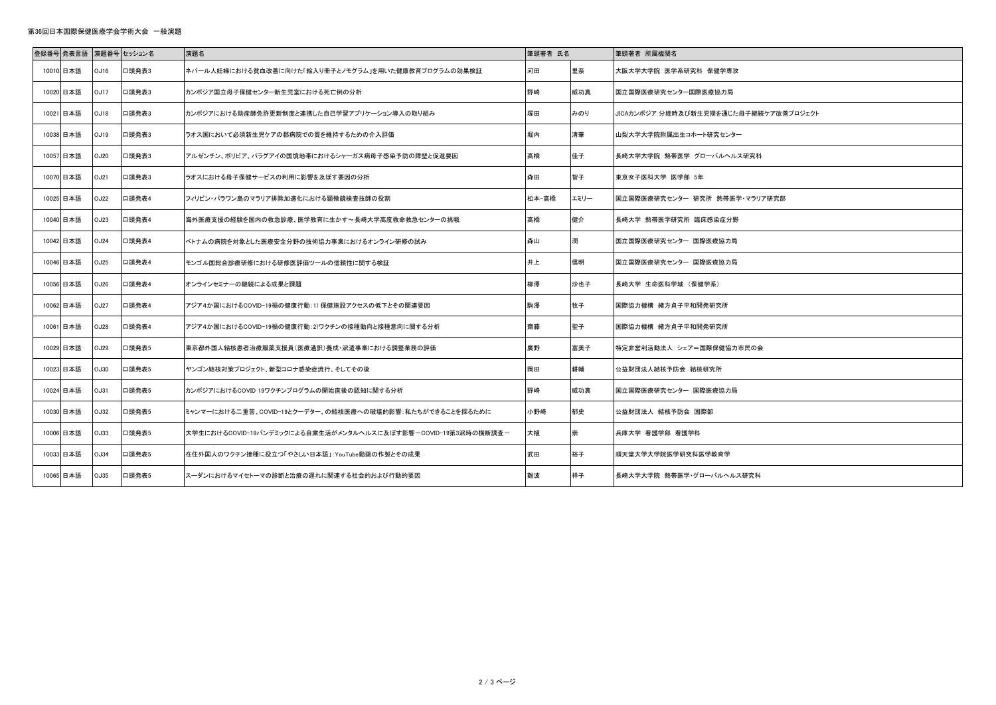## 第36回日本国際保健医療学会学術大会 一般演題

| 登録番号 発表言語 |      | 演題番号 セッション名 | 演題名                                                           | 筆頭著者 氏名 |      | 筆頭著者 所属機関名                            |
|-----------|------|-------------|---------------------------------------------------------------|---------|------|---------------------------------------|
| 10010 日本語 | OJ16 | 口頭発表3       | ネパール人妊婦における貧血改善に向けた「絵入り冊子とノモグラム」を用いた健康教育プログラムの効果検証            | 河田      | 里奈   | 大阪大学大学院 医学系研究科 保健学専攻                  |
| 10020 日本語 | OJ17 | 口頭発表3       | カンボジア国立母子保健センター新生児室における死亡例の分析                                 | 野崎      | 威功真  | 国立国際医療研究センター国際医療協力局                   |
| 10021 日本語 | OJ18 | 口頭発表3       | カンボジアにおける助産師免許更新制度と連携した自己学習アプリケーション導入の取り組み                    | 塚田      | みのり  | JICAカンボジア 分娩時及び新生児期を通じた母子継続ケア改善プロジェクト |
| 10038 日本語 | OJ19 | 口頭発表3       | ラオス国において必須新生児ケアの郡病院での質を維持するための介入評価                            | 堀内      | 清華   | 山梨大学大学院附属出生コホート研究センター                 |
| 10057 日本語 | OJ20 | 口頭発表3       | アルゼンチン、ボリビア、パラグアイの国境地帯におけるシャーガス病母子感染予防の障壁と促進要因                | 高橋      | 佳子   | 長崎大学大学院 熱帯医学 グローバルヘルス研究科              |
| 10070 日本語 | OJ21 | 口頭発表3       | ラオスにおける母子保健サービスの利用に影響を及ぼす要因の分析                                | 森田      | 智子   | 東京女子医科大学 医学部 5年                       |
| 10025 日本語 | OJ22 | 口頭発表4       | フィリピン・パラワン島のマラリア排除加速化における顕微鏡検査技師の役割                           | 松本-高橋   | エミリー | 国立国際医療研究センター 研究所 熱帯医学·マラリア研究部         |
| 10040 日本語 | OJ23 | 口頭発表4       | 海外医療支援の経験を国内の救急診療、医学教育に生かす~長崎大学高度救命救急センターの挑戦                  | 高橋      | 健介   | 長崎大学 熱帯医学研究所 臨床感染症分野                  |
| 10042 日本語 | OJ24 | 口頭発表4       | ベトナムの病院を対象とした医療安全分野の技術協力事業におけるオンライン研修の試み                      | 森山      | 潤    | 国立国際医療研究センター 国際医療協力局                  |
| 10046 日本語 | OJ25 | 口頭発表4       | モンゴル国総合診療研修における研修医評価ツールの信頼性に関する検証                             | 井上      | 信明   | 国立国際医療研究センター 国際医療協力局                  |
| 10056 日本語 | OJ26 | 口頭発表4       | オンラインセミナーの継続による成果と課題                                          | 柳澤      | 沙也子  | 長崎大学 生命医科学域 (保健学系)                    |
| 10062 日本語 | OJ27 | 口頭発表4       | アジア4か国におけるCOVID-19禍の健康行動:1)保健施設アクセスの低下とその関連要因                 | 駒澤      | 牧子   | 国際協力機構 緒方貞子平和開発研究所                    |
| 10061 日本語 | OJ28 | 口頭発表4       | アジア4か国におけるCOVID-19禍の健康行動:2)ワクチンの接種動向と接種意向に関する分析               | 齋藤      | 聖子   | 国際協力機構 緒方貞子平和開発研究所                    |
| 10029 日本語 | OJ29 | 口頭発表5       | 東京都外国人結核患者治療服薬支援員(医療通訳)養成・派遣事業における調整業務の評価                     | 廣野      | 富美子  | ┃特定非営利活動法人 シェア=国際保健協力市民の会             |
| 10023 日本語 | OJ30 | 口頭発表5       | ヤンゴン結核対策プロジェクト、新型コロナ感染症流行、そしてその後                              | 岡田      | 耕輔   | 公益財団法人結核予防会 結核研究所                     |
| 10024 日本語 | OJ31 | 口頭発表5       | カンボジアにおけるCOVID 19ワクチンプログラムの開始直後の認知に関する分析                      | 野崎      | 威功真  | 国立国際医療研究センター 国際医療協力局                  |
| 10030 日本語 | OJ32 | 口頭発表5       | ミャンマーにおける二重苦、COVID-19とクーデター、の結核医療への破壊的影響:私たちができることを探るために      | 小野崎     | 郁史   | 公益財団法人 結核予防会 国際部                      |
| 10006 日本語 | OJ33 | 口頭発表5       | 大学生におけるCOVID-19パンデミックによる自粛生活がメンタルヘルスに及ぼす影響-COVID-19第3派時の横断調査- | 大植      | 崇    | 兵庫大学 看護学部 看護学科                        |
| 10033 日本語 | OJ34 | 口頭発表5       | 在住外国人のワクチン接種に役立つ「やさしい日本語」: YouTube動画の作製とその成果                  | 武田      | 裕子   | 順天堂大学大学院医学研究科医学教育学                    |
| 10065 日本語 | OJ35 | 口頭発表5       | スーダンにおけるマイセトーマの診断と治療の遅れに関連する社会的および行動的要因                       | 難波      | 祥子   | 長崎大学大学院 熱帯医学・グローバルヘルス研究科              |